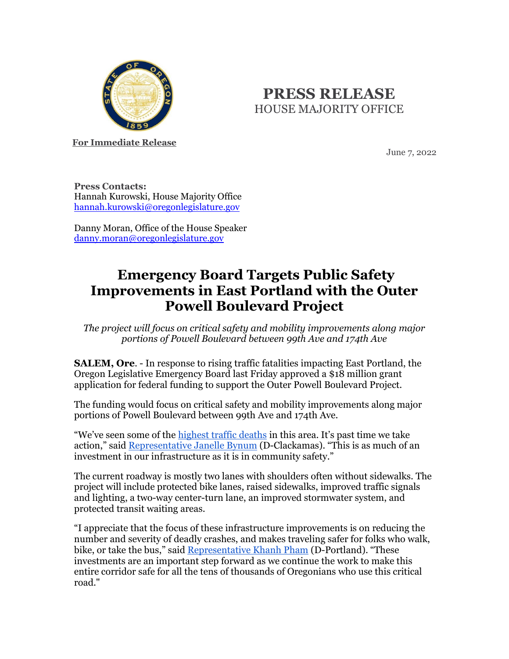

## **PRESS RELEASE** HOUSE MAJORITY OFFICE

**For Immediate Release**

June 7, 2022

**Press Contacts:** Hannah Kurowski, House Majority Office [hannah.kurowski@oregonlegislature.gov](mailto:hannah.kurowski@oregonlegislature.gov)

Danny Moran, Office of the House Speaker [danny.moran@oregonlegislature.gov](mailto:danny.moran@oregonlegislature.gov)

## **Emergency Board Targets Public Safety Improvements in East Portland with the Outer Powell Boulevard Project**

*The project will focus on critical safety and mobility improvements along major portions of Powell Boulevard between 99th Ave and 174th Ave*

**SALEM, Ore**. - In response to rising traffic fatalities impacting East Portland, the Oregon Legislative Emergency Board last Friday approved a \$18 million grant application for federal funding to support the Outer Powell Boulevard Project.

The funding would focus on critical safety and mobility improvements along major portions of Powell Boulevard between 99th Ave and 174th Ave.

"We've seen some of the [highest traffic deaths](https://gcc02.safelinks.protection.outlook.com/?url=https%3A%2F%2Fwww.oregonlive.com%2Fcommuting%2F2022%2F01%2Fportland-traffic-deaths-highest-in-3-decades-as-officials-report-spike-in-reckless-driving.html&data=05%7C01%7CHannah.Kurowski%40oregonlegislature.gov%7C6aae52d9d8ca4612f90208da48b5e51d%7C489a9c84574a48c7b72a2450511334cc%7C1%7C0%7C637902243313599981%7CUnknown%7CTWFpbGZsb3d8eyJWIjoiMC4wLjAwMDAiLCJQIjoiV2luMzIiLCJBTiI6Ik1haWwiLCJXVCI6Mn0%3D%7C3000%7C%7C%7C&sdata=IfMTKoIGMWzacwsu2nBNuzIOor0%2BAi%2B6St0wVqqgRLI%3D&reserved=0) in this area. It's past time we take action," said [Representative Janelle Bynum](https://www.oregonlegislature.gov/bynum) (D-Clackamas). "This is as much of an investment in our infrastructure as it is in community safety."

The current roadway is mostly two lanes with shoulders often without sidewalks. The project will include protected bike lanes, raised sidewalks, improved traffic signals and lighting, a two-way center-turn lane, an improved stormwater system, and protected transit waiting areas.

"I appreciate that the focus of these infrastructure improvements is on reducing the number and severity of deadly crashes, and makes traveling safer for folks who walk, bike, or take the bus," said [Representative Khanh Pham](https://www.oregonlegislature.gov/pham) (D-Portland). "These investments are an important step forward as we continue the work to make this entire corridor safe for all the tens of thousands of Oregonians who use this critical road."